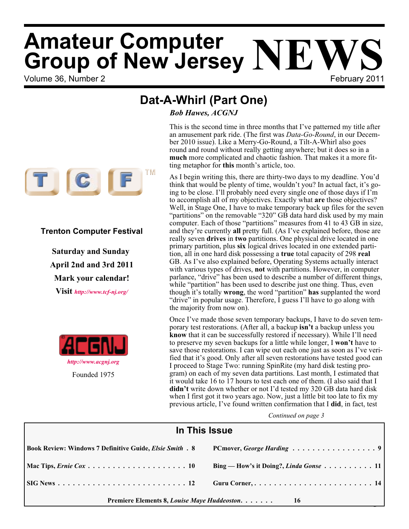# Volume 36, Number 2 February 2011 **Amateur Computer Group of New Jersey NEWS**

*<http://www.acgnj.org>* Founded 1975

**Trenton Computer Festival**

**Saturday and Sunday April 2nd and 3rd 2011**

**Mark your calendar! Visit** *<http://www.tcf-nj.org/>*

## **Dat-A-Whirl (Part One)**

*Bob Hawes, ACGNJ*

ber 2010 issue). Like a Merry-Go-Round, a Tilt-A-Whirl also goes round and round without really getting anywhere; but it does so in a **much** more complicated and chaotic fashion. That makes it a more fitting metaphor for **this** month's article, too. TM  $\Gamma$   $\left[$  C  $\right]$   $\mid$ 

As I begin writing this, there are thirty-two days to my deadline. You'd think that would be plenty of time, wouldn't you? In actual fact, it's going to be close. I'll probably need every single one of those days if I'm to accomplish all of my objectives. Exactly what **are** those objectives? Well, in Stage One, I have to make temporary back up files for the seven "partitions" on the removable "320" GB data hard disk used by my main computer. Each of those "partitions" measures from 41 to 43 GB in size, and they're currently **all** pretty full. (As I've explained before, those are really seven **drives** in **two** partitions. One physical drive located in one primary partition, plus **six** logical drives located in one extended partition, all in one hard disk possessing a **true** total capacity of 298 **real** GB. As I've also explained before, Operating Systems actually interact with various types of drives, **not** with partitions. However, in computer parlance, "drive" has been used to describe a number of different things, while "partition" has been used to describe just one thing. Thus, even though it's totally **wrong**, the word "partition" **has** supplanted the word "drive" in popular usage. Therefore, I guess I'll have to go along with the majority from now on).

This is the second time in three months that I've patterned my title after an amusement park ride. (The first was *Data-Go-Round*, in our Decem-

Once I've made those seven temporary backups, I have to do seven temporary test restorations. (After all, a backup **isn't** a backup unless you **know** that it can be successfully restored if necessary). While I'll need to preserve my seven backups for a little while longer, I **won't** have to save those restorations. I can wipe out each one just as soon as I've verified that it's good. Only after all seven restorations have tested good can I proceed to Stage Two: running SpinRite (my hard disk testing program) on each of my seven data partitions. Last month, I estimated that it would take 16 to 17 hours to test each one of them. (I also said that I **didn't** write down whether or not I'd tested my 320 GB data hard disk when I first got it two years ago. Now, just a little bit too late to fix my previous article, I've found written confirmation that I **did**, in fact, test

| In This Issue                                                  |                                               |  |  |
|----------------------------------------------------------------|-----------------------------------------------|--|--|
| <b>Book Review: Windows 7 Definitive Guide, Elsie Smith. 8</b> | PCmover, George Harding 9                     |  |  |
|                                                                | Bing — How's it Doing?, <i>Linda Gonse</i> 11 |  |  |
|                                                                | Guru Corner,  14                              |  |  |
| Premiere Elements 8, Louise Maye Huddeoston.<br>16             |                                               |  |  |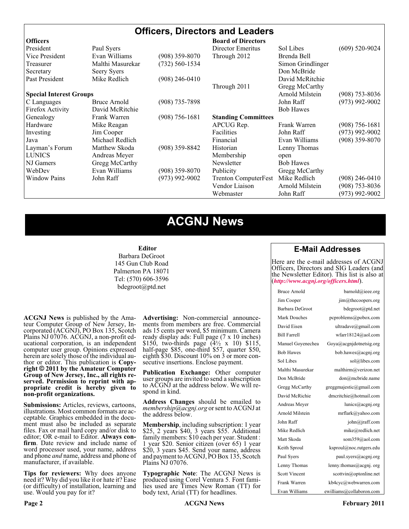### **Officers, Directors and Leaders**

| <b>Officers</b>                |                  |                    | <b>Board of Directors</b>   |                   |                    |
|--------------------------------|------------------|--------------------|-----------------------------|-------------------|--------------------|
| President                      | Paul Syers       |                    | Director Emeritus           | Sol Libes         | $(609)$ 520-9024   |
| Vice President                 | Evan Williams    | (908) 359-8070     | Through 2012                | Brenda Bell       |                    |
| Treasurer                      | Malthi Masurekar | $(732) 560 - 1534$ |                             | Simon Grindlinger |                    |
| Secretary                      | Seery Syers      |                    |                             | Don McBride       |                    |
| Past President                 | Mike Redlich     | $(908)$ 246-0410   |                             | David McRitchie   |                    |
|                                |                  |                    | Through 2011                | Gregg McCarthy    |                    |
| <b>Special Interest Groups</b> |                  |                    |                             | Arnold Milstein   | $(908)$ 753-8036   |
| C Languages                    | Bruce Arnold     | $(908)$ 735-7898   |                             | John Raff         | $(973)$ 992-9002   |
| Firefox Activity               | David McRitchie  |                    |                             | <b>Bob Hawes</b>  |                    |
| Genealogy                      | Frank Warren     | $(908)$ 756-1681   | <b>Standing Committees</b>  |                   |                    |
| Hardware                       | Mike Reagan      |                    | APCUG Rep.                  | Frank Warren      | $(908) 756 - 1681$ |
| Investing                      | Jim Cooper       |                    | Facilities                  | John Raff         | $(973)$ 992-9002   |
| Java                           | Michael Redlich  |                    | Financial                   | Evan Williams     | $(908)$ 359-8070   |
| Layman's Forum                 | Matthew Skoda    | $(908)$ 359-8842   | Historian                   | Lenny Thomas      |                    |
| <b>LUNICS</b>                  | Andreas Meyer    |                    | Membership                  | open              |                    |
| NJ Gamers                      | Gregg McCarthy   |                    | Newsletter                  | <b>Bob Hawes</b>  |                    |
| WebDev                         | Evan Williams    | $(908)$ 359-8070   | Publicity                   | Gregg McCarthy    |                    |
| <b>Window Pains</b>            | John Raff        | $(973)$ 992-9002   | <b>Trenton ComputerFest</b> | Mike Redlich      | $(908)$ 246-0410   |
|                                |                  |                    | Vendor Liaison              | Arnold Milstein   | $(908)$ 753-8036   |
|                                |                  |                    | Webmaster                   | John Raff         | $(973)$ 992-9002   |

### **ACGNJ News**

#### **Editor**

Barbara DeGroot 145 Gun Club Road Palmerton PA 18071 Tel: (570) 606-3596 bdegroot@ptd.net

**ACGNJ News** is published by the Ama- teur Computer Group of New Jersey, In- corporated (ACGNJ), PO Box 135, Scotch Plains NJ 07076. ACGNJ, a non-profit ed- ucational corporation, is an independent computer user group. Opinions expressed herein are solely those of the individual author or editor. This publication is **Copy-**<br>**right**  $\bigcirc$  2011 by the Amateur Computer<br>**Group of New Jersey, Inc., all rights re-Group of New Jersey, Inc., all rights re- served. Permission to reprint with ap- propriate credit is hereby given to non-profit organizations.**

**Submissions:** Articles, reviews, cartoons, illustrations. Most common formats are ac- ceptable. Graphics embedded in the docu- ment must also be included as separate files. Fax or mail hard copy and/or disk to editor; OR e-mail to Editor. Always confirm. Date review and include name of word processor used, your name, address and phone *and* name, address and phone of manufacturer, if available.

**Tips for reviewers:** Why does anyone need it? Why did you like it or hate it? Ease (or difficulty) of installation, learning and use. Would you pay for it?

**Advertising:** Non-commercial announce- ments from members are free. Commercial ads 15 cents per word, \$5 minimum. Camera ready display ads: Full page (7 x 10 inches) \$150, two-thirds page  $(4\frac{1}{2} \times 10)$  \$115, half-page \$85, one-third \$57, quarter \$50, eighth \$30. Discount 10% on 3 or more con- secutive insertions. Enclose payment.

**Publication Exchange:** Other computer user groups are invited to send a subscription to ACGNJ at the address below. We will re- spond in kind.

**Address Changes** should be emailed to *membership@acgnj.org* or sent to ACGNJ at the address below.

**Membership**, including subscription: 1 year \$25, 2 years \$40, 3 years \$55. Additional family members: \$10 each per year. Student : 1 year \$20. Senior citizen (over 65) 1 year \$20, 3 years \$45. Send your name, address and payment to ACGNJ, PO Box 135, Scotch Plains NJ 07076.

**Typographic Note**: The ACGNJ News is produced using Corel Ventura 5. Font fami- lies used are Times New Roman (TT) for body text, Arial (TT) for headlines.

### **E-Mail Addresses**

Here are the e-mail addresses of ACGNJ Officers, Directors and SIG Leaders (and the Newsletter Editor). This list is also at (*<http://www.acgnj.org/officers.html>*).

| Bruce Arnold         | barnold@ieee.org                     |
|----------------------|--------------------------------------|
| Jim Cooper           | jim@thecoopers.org                   |
| Barbara DeGroot      | bdegroot@ptd.net                     |
| Mark Douches         | pcproblems@pobox.com                 |
| David Eisen          | ultradave@gmail.com                  |
| <b>Bill Farrell</b>  | wfarr18124@aol.com                   |
| Manuel Goyenechea    | Goya@acgnidotnetsig.org              |
| <b>Bob Hawes</b>     | bob.hawes@acgnj.org                  |
| Sol Libes            | sol@libes.com                        |
| Malthi Masurekar     | malthirm@verizon.net                 |
| Don McBride          | don@mcbride.name                     |
| Gregg McCarthy       | greggmajestic@gmail.com              |
| David McRichie       | dmcritchie@hotmail.com               |
| Andreas Meyer        | lunics@acgni.org                     |
| Arnold Milstein      | mrflark@yahoo.com                    |
| John Raff            | $\overline{\text{iohn}(a)}$ raff.com |
| Mike Redlich         | mike@redlich.net                     |
| Matt Skoda           | som359@aol.com                       |
| Keith Sproul         | ksproul@noc.rutgers.edu              |
| Paul Syers           | paul.syers@acgnj.org                 |
| Lenny Thomas         | lenny.thomas@acgnj.org               |
| <b>Scott Vincent</b> | scottvin@optonline.net               |
| Frank Warren         | kb4cyc@webwarren.com                 |
| Evan Williams        | ewilliams@collaboron.com             |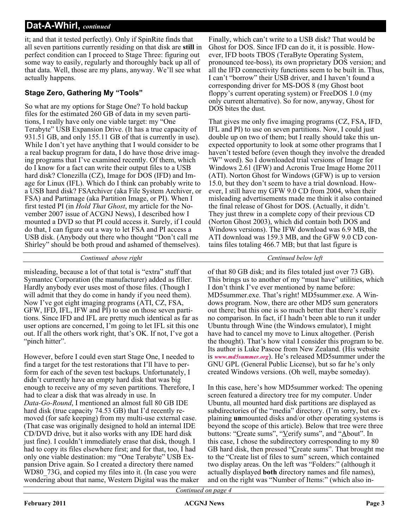it; and that it tested perfectly). Only if SpinRite finds that all seven partitions currently residing on that disk are **still** in perfect condition can I proceed to Stage Three: figuring out some way to easily, regularly and thoroughly back up all of that data. Well, those are my plans, anyway. We'll see what actually happens.

### **Stage Zero, Gathering My "Tools"**

So what are my options for Stage One? To hold backup files for the estimated 260 GB of data in my seven partitions, I really have only one viable target: my "One Terabyte" USB Expansion Drive. (It has a true capacity of 931.51 GB, and only 155.11 GB of that is currently in use). While I don't yet have anything that I would consider to be a real backup program for data, I do have those drive imaging programs that I've examined recently. Of them, which do I know for a fact can write their output files to a USB hard disk? Clonezilla (CZ), Image for DOS (IFD) and Image for Linux (IFL). Which do I think can probably write to a USB hard disk? FSArchiver (aka File System Archiver, or FSA) and Partimage (aka Partition Image, or PI). When I first tested PI (in *Hold That Ghost*, my article for the November 2007 issue of ACGNJ News), I described how I mounted a DVD so that PI could access it. Surely, if I could do that, I can figure out a way to let FSA and PI access a USB disk. (Anybody out there who thought "Don't call me Shirley" should be both proud and ashamed of themselves).

Finally, which can't write to a USB disk? That would be Ghost for DOS. Since IFD can do it, it is possible. However, IFD boots TBOS (TeraByte Operating System, pronounced tee-boss), its own proprietary DOS version; and all the IFD connectivity functions seem to be built in. Thus, I can't "borrow" their USB driver, and I haven't found a corresponding driver for MS-DOS 8 (my Ghost boot floppy's current operating system) or FreeDOS 1.0 (my only current alternative). So for now, anyway, Ghost for DOS bites the dust.

That gives me only five imaging programs (CZ, FSA, IFD, IFL and PI) to use on seven partitions. Now, I could just double up on two of them; but I really should take this unexpected opportunity to look at some other programs that I haven't tested before (even though they involve the dreaded "W" word). So I downloaded trial versions of Image for Windows 2.61 (IFW) and Acronis True Image Home 2011 (ATI). Norton Ghost for Windows (GFW) is up to version 15.0, but they don't seem to have a trial download. However, I still have my GFW 9.0 CD from 2004, when their misleading advertisements made me think it also contained the final release of Ghost for DOS. (Actually, it didn't. They just threw in a complete copy of their previous CD (Norton Ghost 2003), which did contain both DOS and Windows versions). The IFW download was 6.9 MB, the ATI download was 159.3 MB, and the GFW 9.0 CD contains files totaling 466.7 MB; but that last figure is

*Continued above right Centinued below left*

misleading, because a lot of that total is "extra" stuff that Symantec Corporation (the manufacturer) added as filler. Hardly anybody ever uses most of those files. (Though I will admit that they do come in handy if you need them). Now I've got eight imaging programs (ATI, CZ, FSA, GFW, IFD, IFL, IFW and PI) to use on those seven partitions. Since IFD and IFL are pretty much identical as far as user options are concerned, I'm going to let IFL sit this one out. If all the others work right, that's OK. If not, I've got a "pinch hitter".

However, before I could even start Stage One, I needed to find a target for the test restorations that I'll have to perform for each of the seven test backups. Unfortunately, I didn't currently have an empty hard disk that was big enough to receive any of my seven partitions. Therefore, I had to clear a disk that was already in use. In *Data-Go-Round*, I mentioned an almost full 80 GB IDE hard disk (true capacity 74.53 GB) that I'd recently removed (for safe keeping) from my multi-use external case. (That case was originally designed to hold an internal IDE CD/DVD drive, but it also works with any IDE hard disk just fine). I couldn't immediately erase that disk, though. I had to copy its files elsewhere first; and for that, too, I had only one viable destination: my "One Terabyte" USB Expansion Drive again. So I created a directory there named WD80, 73G, and copied my files into it. (In case you were wondering about that name, Western Digital was the maker

of that 80 GB disk; and its files totaled just over 73 GB). This brings us to another of my "must have" utilities, which I don't think I've ever mentioned by name before: MD5summer.exe. That's right! MD5summer.exe. A Windows program. Now, there are other MD5 sum generators out there; but this one is so much better that there's really no comparison. In fact, if I hadn't been able to run it under Ubuntu through Wine (the Windows emulator), I might have had to cancel my move to Linux altogether. (Perish the thought). That's how vital I consider this program to be. Its author is Luke Pascoe from New Zealand. (His website is *[www.md5summer.org](http://www.md5summer.org)*). He's released MD5summer under the GNU GPL (General Public License), but so far he's only created Windows versions. (Oh well, maybe someday).

In this case, here's how MD5summer worked: The opening screen featured a directory tree for my computer. Under Ubuntu, all mounted hard disk partitions are displayed as subdirectories of the "media" directory. (I'm sorry, but explaining **un**mounted disks and/or other operating systems is beyond the scope of this article). Below that tree were three buttons: "Create sums", "Verify sums", and "About". In this case, I chose the subdirectory corresponding to my 80 GB hard disk, then pressed "Create sums". That brought me to the "Create list of files to sum" screen, which contained two display areas. On the left was "Folders:" (although it actually displayed **both** directory names and file names), and on the right was "Number of Items:" (which also in-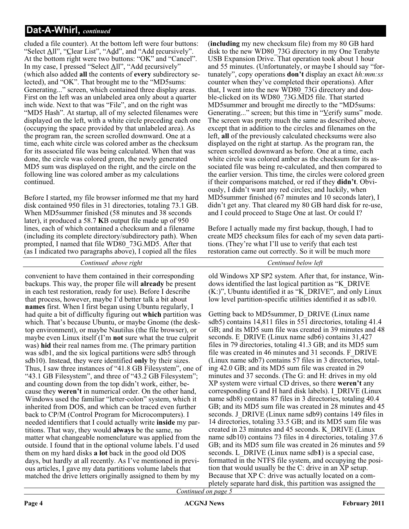cluded a file counter). At the bottom left were four buttons: "Select All", "Clear List", "Add", and "Add recursively". At the bottom right were two buttons: "OK" and "Cancel". In my case, I pressed "Select All", "Add recursively" (which also added **all** the contents of **every** subdirectory selected), and "OK". That brought me to the "MD5sums: Generating..." screen, which contained three display areas. First on the left was an unlabeled area only about a quarter inch wide. Next to that was "File", and on the right was "MD5 Hash". At startup, all of my selected filenames were displayed on the left, with a white circle preceding each one (occupying the space provided by that unlabeled area). As the program ran, the screen scrolled downward. One at a time, each white circle was colored amber as the checksum for its associated file was being calculated. When that was done, the circle was colored green, the newly generated MD5 sum was displayed on the right, and the circle on the following line was colored amber as my calculations continued.

Before I started, my file browser informed me that my hard disk contained 950 files in 31 directories, totaling 73.1 GB. When MD5summer finished (58 minutes and 38 seconds later), it produced a 58.7 **K**B output file made up of 950 lines, each of which contained a checksum and a filename (including its complete directory/subdirectory path). When prompted, I named that file WD80\_73G.MD5. After that (as I indicated two paragraphs above), I copied all the files

*Continued above right Centinued below left*

convenient to have them contained in their corresponding backups. This way, the proper file will **already** be present in each test restoration, ready for use). Before I describe that process, however, maybe I'd better talk a bit about **names** first. When I first began using Ubuntu regularly, I had quite a bit of difficulty figuring out **which** partition was which. That's because Ubuntu, or maybe Gnome (the desktop environment), or maybe Nautilus (the file browser), or maybe even Linux itself (I'm **not** sure what the true culprit was) **hid** their real names from me. (The primary partition was sdb1, and the six logical partitions were sdb5 through sdb10). Instead, they were identified **only** by their sizes. Thus, I saw three instances of "41.8 GB Filesystem", one of "43.1 GB Filesystem", and three of "43.2 GB Filesystem"; and counting down from the top didn't work, either, because they **weren't** in numerical order. On the other hand, Windows used the familiar "letter-colon" system, which it inherited from DOS, and which can be traced even further back to CP/M (Control Program for Microcomputers). I needed identifiers that I could actually write **inside** my partitions. That way, they would **always** be the same, no matter what changeable nomenclature was applied from the outside. I found that in the optional volume labels. I'd used them on my hard disks **a lot** back in the good old DOS days, but hardly at all recently. As I've mentioned in previous articles, I gave my data partitions volume labels that matched the drive letters originally assigned to them by my

(**including** my new checksum file) from my 80 GB hard disk to the new WD80\_73G directory in my One Terabyte USB Expansion Drive. That operation took about 1 hour and 55 minutes. (Unfortunately, or maybe I should say "fortunately", copy operations **don't** display an exact *hh:mm:ss* counter when they've completed their operations). After that, I went into the new WD80\_73G directory and double-clicked on its WD80\_73G.MD5 file. That started MD5summer and brought me directly to the "MD5sums: Generating..." screen; but this time in "Verify sums" mode. The screen was pretty much the same as described above, except that in addition to the circles and filenames on the left, **all** of the previously calculated checksums were also displayed on the right at startup. As the program ran, the screen scrolled downward as before. One at a time, each white circle was colored amber as the checksum for its associated file was being re-calculated, and then compared to the earlier version. This time, the circles were colored green if their comparisons matched, or red if they **didn't**. Obviously, I didn't want any red circles; and luckily, when MD5summer finished (67 minutes and 10 seconds later), I didn't get any. That cleared my 80 GB hard disk for re-use, and I could proceed to Stage One at last. Or could I?

Before I actually made my first backup, though, I had to create MD5 checksum files for each of my seven data partitions. (They're what I'll use to verify that each test restoration came out correctly. So it will be much more

old Windows XP SP2 system. After that, for instance, Windows identified the last logical partition as "K\_DRIVE (K:)", Ubuntu identified it as "K\_DRIVE", and only Linux low level partition-specific utilities identified it as sdb10.

Getting back to MD5summer, D\_DRIVE (Linux name sdb5) contains 14,811 files in 551 directories, totaling 41.4 GB; and its MD5 sum file was created in 39 minutes and 48 seconds. E\_DRIVE (Linux name sdb6) contains 31,427 files in 79 directories, totaling 41.3 GB; and its MD5 sum file was created in 46 minutes and 31 seconds. F\_DRIVE (Linux name sdb7) contains 57 files in 3 directories, totaling 42.0 GB; and its MD5 sum file was created in 29 minutes and 37 seconds. (The G: and H: drives in my old XP system were virtual CD drives, so there **weren't** any corresponding G and H hard disk labels). I\_DRIVE (Linux name sdb8) contains 87 files in 3 directories, totaling 40.4 GB; and its MD5 sum file was created in 28 minutes and 45 seconds. J\_DRIVE (Linux name sdb9) contains 149 files in 14 directories, totaling 33.5 GB; and its MD5 sum file was created in 23 minutes and 45 seconds. K\_DRIVE (Linux name sdb10) contains 73 files in 4 directories, totaling 37.6 GB; and its MD5 sum file was created in 26 minutes and 59 seconds. L\_DRIVE (Linux name sdb**1**) is a special case, formatted in the NTFS file system, and occupying the position that would usually be the C: drive in an XP setup. Because that XP C: drive was actually located on a completely separate hard disk, this partition was assigned the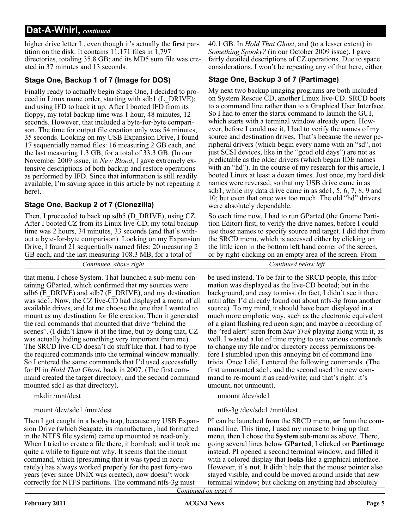higher drive letter L, even though it's actually the **first** partition on the disk. It contains 11,171 files in 1,797 directories, totaling 35.8 GB; and its MD5 sum file was created in 37 minutes and 13 seconds.

### **Stage One, Backup 1 of 7 (Image for DOS)**

Finally ready to actually begin Stage One, I decided to proceed in Linux name order, starting with sdb1 (L\_DRIVE); and using IFD to back it up. After I booted IFD from its floppy, my total backup time was 1 hour, 48 minutes, 12 seconds. However, that included a byte-for-byte comparison. The time for output file creation only was 54 minutes, 35 seconds. Looking on my USB Expansion Drive, I found 17 sequentially named files: 16 measuring 2 GB each, and the last measuring 1.3 GB, for a total of 33.3 GB. (In our November 2009 issue, in *New Blood*, I gave extremely extensive descriptions of both backup and restore operations as performed by IFD. Since that information is still readily available, I'm saving space in this article by not repeating it here).

### **Stage One, Backup 2 of 7 (Clonezilla)**

Then, I proceeded to back up sdb5 (D\_DRIVE), using CZ. After I booted CZ from its Linux live-CD, my total backup time was 2 hours, 34 minutes, 33 seconds (and that's without a byte-for-byte comparison). Looking on my Expansion Drive, I found 21 sequentially named files: 20 measuring 2 GB each, and the last measuring 108.3 MB, for a total of

40.1 GB. In *Hold That Ghost*, and (to a lesser extent) in *Something Spooky?* (in our October 2009 issue), I gave fairly detailed descriptions of CZ operations. Due to space considerations, I won't be repeating any of that here, either.

### **Stage One, Backup 3 of 7 (Partimage)**

My next two backup imaging programs are both included on System Rescue CD, another Linux live-CD. SRCD boots to a command line rather than to a Graphical User Interface. So I had to enter the startx command to launch the GUI, which starts with a terminal window already open. However, before I could use it, I had to verify the names of my source and destination drives. That's because the newer peripheral drivers (which begin every name with an "sd", not just SCSI devices, like in the "good old days") are not as predictable as the older drivers (which began IDE names with an "hd"). In the course of my research for this article, I booted Linux at least a dozen times. Just once, my hard disk names were reversed, so that my USB drive came in as sdb1, while my data drive came in as sdc1, 5, 6, 7, 8, 9 and 10; but even that once was too much. The old "hd" drivers were absolutely dependable.

So each time now, I had to run GParted (the Gnome Partition Editor) first, to verify the drive names, before I could use those names to specify source and target. I did that from the SRCD menu, which is accessed either by clicking on the little icon in the bottom left hand corner of the screen, or by right-clicking on an empty area of the screen. From

*Continued above right Continued below left*

that menu, I chose System. That launched a sub-menu containing GParted, which confirmed that my sources were sdb6 (E\_DRIVE) and sdb7 (F\_DRIVE), and my destination was sdc1. Now, the CZ live-CD had displayed a menu of all available drives, and let me choose the one that I wanted to mount as my destination for file creation. Then it generated the real commands that mounted that drive "behind the scenes". (I didn't know it at the time, but by doing that, CZ was actually hiding something very important from me). The SRCD live-CD doesn't do stuff like that. I had to type the required commands into the terminal window manually. So I entered the same commands that I'd used successfully for PI in *Hold That Ghost*, back in 2007. (The first command created the target directory, and the second command mounted sdc1 as that directory).

mkdir /mnt/dest

### mount /dev/sdc1 /mnt/dest

Then I got caught in a booby trap, because my USB Expansion Drive (which Seagate, its manufacturer, had formatted in the NTFS file system) came up mounted as read-only. When I tried to create a file there, it bombed; and it took me quite a while to figure out why. It seems that the mount command, which (presuming that it was typed in accurately) has always worked properly for the past forty-two years (ever since UNIX was created), now doesn't work correctly for NTFS partitions. The command ntfs-3g must

be used instead. To be fair to the SRCD people, this information was displayed as the live-CD booted; but in the background, and easy to miss. (In fact, I didn't see it there until after I'd already found out about ntfs-3g from another source). To my mind, it should have been displayed in a much more emphatic way, such as the electronic equivalent of a giant flashing red neon sign; and maybe a recording of the "red alert" siren from *Star Trek* playing along with it, as well. I wasted a lot of time trying to use various commands to change my file and/or directory access permissions before I stumbled upon this annoying bit of command line trivia. Once I did, I entered the following commands. (The first unmounted sdc1, and the second used the new command to re-mount it as read/write; and that's right: it's umount, not unmount).

umount /dev/sdc1

### ntfs-3g /dev/sdc1 /mnt/dest

PI can be launched from the SRCD menu, **or** from the command line. This time, I used my mouse to bring up that menu, then I chose the **System** sub-menu as above. There, going several lines below **GParted**, I clicked on **Partimage** instead. PI opened a second terminal window, and filled it with a colored display that **looks** like a graphical interface. However, it's **not**. It didn't help that the mouse pointer also stayed visible, and could be moved around inside that new terminal window; but clicking on anything had absolutely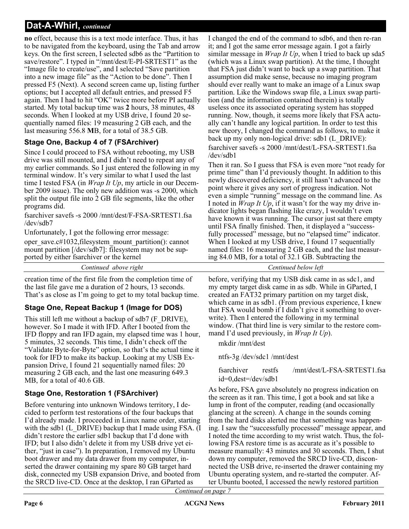**no** effect, because this is a text mode interface. Thus, it has to be navigated from the keyboard, using the Tab and arrow keys. On the first screen, I selected sdb6 as the "Partition to save/restore". I typed in "/mnt/dest/E-PI-SRTEST1" as the "Image file to create/use", and I selected "Save partition into a new image file" as the "Action to be done". Then I pressed F5 (Next). A second screen came up, listing further options; but I accepted all default entries, and pressed F5 again. Then I had to hit "OK" twice more before PI actually started. My total backup time was **2** hours, 38 minutes, 48 seconds. When I looked at my USB drive, I found 20 sequentially named files: 19 measuring 2 GB each, and the last measuring 556.8 **M**B, for a total of 38.5 GB.

### **Stage One, Backup 4 of 7 (FSArchiver)**

Since I could proceed to FSA without rebooting, my USB drive was still mounted, and I didn't need to repeat any of my earlier commands. So I just entered the following in my terminal window. It's very similar to what I used the last time I tested FSA (in *Wrap It Up*, my article in our December 2009 issue). The only new addition was -s 2000, which split the output file into 2 GB file segments, like the other programs did.

fsarchiver savefs -s 2000 /mnt/dest/F-FSA-SRTEST1.fsa /dev/sdb7

Unfortunately, I got the following error message:

oper\_save.c#1032,filesystem\_mount\_partition(): cannot mount partition [/dev/sdb7]: filesystem may not be supported by either fsarchiver or the kernel

*Continued above right Centinued below left*

creation time of the first file from the completion time of the last file gave me a duration of 2 hours, 13 seconds. That's as close as I'm going to get to my total backup time.

### **Stage One, Repeat Backup 1 (Image for DOS)**

This still left me without a backup of sdb7 (F\_DRIVE), however. So I made it with IFD. After I booted from the IFD floppy and ran IFD again, my elapsed time was 1 hour, 5 minutes, 32 seconds. This time, I didn't check off the "Validate Byte-for-Byte" option, so that's the actual time it took for IFD to make its backup. Looking at my USB Expansion Drive, I found 21 sequentially named files: 20 measuring 2 GB each, and the last one measuring 649.3 MB, for a total of 40.6 GB.

### **Stage One, Restoration 1 (FSArchiver)**

Before venturing into unknown Windows territory, I decided to perform test restorations of the four backups that I'd already made. I proceeded in Linux name order, starting with the sdb1 (L\_DRIVE) backup that I made using FSA. (I didn't restore the earlier sdb1 backup that I'd done with IFD; but I also didn't delete it from my USB drive yet either, "just in case"). In preparation, I removed my Ubuntu boot drawer and my data drawer from my computer, inserted the drawer containing my spare 80 GB target hard disk, connected my USB expansion Drive, and booted from the SRCD live-CD. Once at the desktop, I ran GParted as

I changed the end of the command to sdb6, and then re-ran it; and I got the same error message again. I got a fairly similar message in *Wrap It Up*, when I tried to back up sda5 (which was a Linux swap partition). At the time, I thought that FSA just didn't want to back up a swap partition. That assumption did make sense, because no imaging program should ever really want to make an image of a Linux swap partition. Like the Windows swap file, a Linux swap partition (and the information contained therein) is totally useless once its associated operating system has stopped running. Now, though, it seems more likely that FSA actually can't handle any logical partition. In order to test this new theory, I changed the command as follows, to make it back up my only non-logical drive: sdb1 (L\_DRIVE):

fsarchiver savefs -s 2000 /mnt/dest/L-FSA-SRTEST1.fsa /dev/sdb1

Then it ran. So I guess that FSA is even more "not ready for prime time" than I'd previously thought. In addition to this newly discovered deficiency, it still hasn't advanced to the point where it gives any sort of progress indication. Not even a simple "running" message on the command line. As I noted in *Wrap It Up*, if it wasn't for the way my drive indicator lights began flashing like crazy, I wouldn't even have known it was running. The cursor just sat there empty until FSA finally finished. Then, it displayed a "successfully processed" message, but no "elapsed time" indicator. When I looked at my USB drive, I found 17 sequentially named files: 16 measuring 2 GB each, and the last measuring 84.0 MB, for a total of 32.1 GB. Subtracting the

before, verifying that my USB disk came in as sdc1, and my empty target disk came in as sdb. While in GParted, I created an FAT32 primary partition on my target disk, which came in as sdb1. (From previous experience, I knew that FSA would bomb if I didn't give it something to overwrite). Then I entered the following in my terminal window. (That third line is very similar to the restore command I'd used previously, in *Wrap It Up*).

mkdir /mnt/dest

ntfs-3g /dev/sdc1 /mnt/dest

fsarchiver restfs /mnt/dest/L-FSA-SRTEST1.fsa id=0,dest=/dev/sdb1

As before, FSA gave absolutely no progress indication on the screen as it ran. This time, I got a book and sat like a lump in front of the computer, reading (and occasionally glancing at the screen). A change in the sounds coming from the hard disks alerted me that something was happening. I saw the "successfully processed" message appear, and I noted the time according to my wrist watch. Thus, the following FSA restore time is as accurate as it's possible to measure manually: 43 minutes and 30 seconds. Then, I shut down my computer, removed the SRCD live-CD, disconnected the USB drive, re-inserted the drawer containing my Ubuntu operating system, and re-started the computer. After Ubuntu booted, I accessed the newly restored partition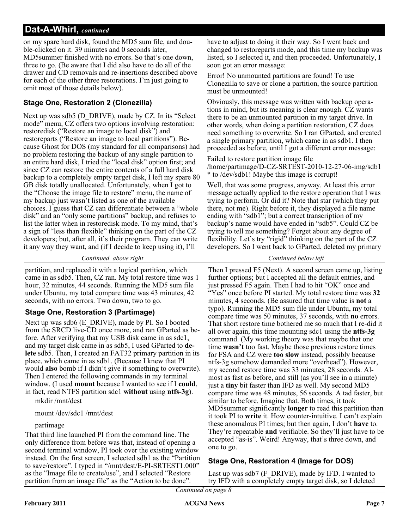on my spare hard disk, found the MD5 sum file, and double-clicked on it. 39 minutes and 0 seconds later, MD5summer finished with no errors. So that's one down, three to go. (Be aware that I did also have to do all of the drawer and CD removals and re-insertions described above for each of the other three restorations. I'm just going to omit most of those details below).

### **Stage One, Restoration 2 (Clonezilla)**

Next up was sdb5 (D\_DRIVE), made by CZ. In its "Select" mode" menu, CZ offers two options involving restoration: restoredisk ("Restore an image to local disk") and restoreparts ("Restore an image to local partitions"). Because Ghost for DOS (my standard for all comparisons) had no problem restoring the backup of any single partition to an entire hard disk, I tried the "local disk" option first; and since CZ can restore the entire contents of a full hard disk backup to a completely empty target disk, I left my spare 80 GB disk totally unallocated. Unfortunately, when I got to the "Choose the image file to restore" menu, the name of my backup just wasn't listed as one of the available choices. I guess that CZ can differentiate between a "whole disk" and an "only some partitions" backup, and refuses to list the latter when in restoredisk mode. To my mind, that's a sign of "less than flexible" thinking on the part of the CZ developers; but, after all, it's their program. They can write it any way they want, and (if I decide to keep using it), I'll

*Continued above right Continued below left*

partition, and replaced it with a logical partition, which came in as sdb5. Then, CZ ran. My total restore time was 1 hour, 32 minutes, 44 seconds. Running the MD5 sum file under Ubuntu, my total compare time was 43 minutes, 42 seconds, with no errors. Two down, two to go.

### **Stage One, Restoration 3 (Partimage)**

Next up was sdb6 (E\_DRIVE), made by PI. So I booted from the SRCD live-CD once more, and ran GParted as before. After verifying that my USB disk came in as sdc1, and my target disk came in as sdb5, I used GParted to **delete** sdb5. Then, I created an FAT32 primary partition in its place, which came in as sdb1. (Because I knew that PI would **also** bomb if I didn't give it something to overwrite). Then I entered the following commands in my terminal window. (I used **mount** because I wanted to see if I **could**, in fact, read NTFS partition sdc1 **without** using **ntfs-3g**).

mkdir /mnt/dest

### mount /dev/sdc1 /mnt/dest

### partimage

That third line launched PI from the command line. The only difference from before was that, instead of opening a second terminal window, PI took over the existing window instead. On the first screen, I selected sdb1 as the "Partition to save/restore". I typed in "/mnt/dest/E-PI-SRTEST1.000" as the "Image file to create/use", and I selected "Restore partition from an image file" as the "Action to be done".

have to adjust to doing it their way. So I went back and changed to restoreparts mode, and this time my backup was listed, so I selected it, and then proceeded. Unfortunately, I soon got an error message:

Error! No unmounted partitions are found! To use Clonezilla to save or clone a partition, the source partition must be unmounted!

Obviously, this message was written with backup operations in mind, but its meaning is clear enough. CZ wants there to be an unmounted partition in my target drive. In other words, when doing a partition restoration, CZ does need something to overwrite. So I ran GParted, and created a single primary partition, which came in as sdb1. I then proceeded as before, until I got a different error message:

Failed to restore partition image file /home/partimage/D-CZ-SRTEST-2010-12-27-06-img/sdb1 \* to /dev/sdb1! Maybe this image is corrupt!

Well, that was some progress, anyway. At least this error message actually applied to the restore operation that I was trying to perform. Or did it? Note that star (which they put there, not me). Right before it, they displayed a file name ending with "sdb1"; but a correct transcription of my backup's name would have ended in "sdb5". Could CZ be trying to tell me something? Forget about any degree of flexibility. Let's try "rigid" thinking on the part of the CZ developers. So I went back to GParted, deleted my primary

Then I pressed F5 (Next). A second screen came up, listing further options; but I accepted all the default entries, and just pressed F5 again. Then I had to hit "OK" once and "Yes" once before PI started. My total restore time was **32** minutes, 4 seconds. (Be assured that time value is **not** a typo). Running the MD5 sum file under Ubuntu, my total compare time was 50 minutes, 37 seconds, with **no** errors. That short restore time bothered me so much that I re-did it all over again, this time mounting sdc1 using the **ntfs-3g** command. (My working theory was that maybe that one time **wasn't** too fast. Maybe those previous restore times for FSA and CZ were **too slow** instead, possibly because ntfs-3g somehow demanded more "overhead"). However, my second restore time was 33 minutes, 28 seconds. Almost as fast as before, and still (as you'll see in a minute) just a **tiny** bit faster than IFD as well. My second MD5 compare time was 48 minutes, 56 seconds. A tad faster, but similar to before. Imagine that. Both times, it took MD5summer significantly **longer** to read this partition than it took PI to **write** it. How counter-intuitive. I can't explain these anomalous PI times; but then again, I don't **have** to. They're repeatable **and** verifiable. So they'll just have to be accepted "as-is". Weird! Anyway, that's three down, and one to go.

### **Stage One, Restoration 4 (Image for DOS)**

Last up was sdb7 (F\_DRIVE), made by IFD. I wanted to try IFD with a completely empty target disk, so I deleted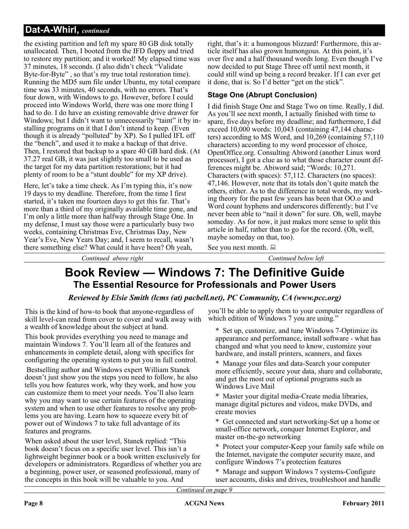the existing partition and left my spare 80 GB disk totally unallocated. Then, I booted from the IFD floppy and tried to restore my partition; and it worked! My elapsed time was 37 minutes, 18 seconds. (I also didn't check "Validate Byte-for-Byte" , so that's my true total restoration time). Running the MD5 sum file under Ubuntu, my total compare time was 33 minutes, 40 seconds, with no errors. That's four down, with Windows to go. However, before I could proceed into Windows World, there was one more thing I had to do. I do have an existing removable drive drawer for Windows; but I didn't want to unnecessarily "taint" it by installing programs on it that I don't intend to keep. (Even though it is already "polluted" by XP). So I pulled IFL off the "bench", and used it to make a backup of that drive. Then, I restored that backup to a spare 40 GB hard disk. (At 37.27 real GB, it was just slightly too small to be used as the target for my data partition restorations; but it had plenty of room to be a "stunt double" for my XP drive).

Here, let's take a time check. As I'm typing this, it's now 19 days to my deadline. Therefore, from the time I first started, it's taken me fourteen days to get this far. That's more than a third of my originally available time gone, and I'm only a little more than halfway through Stage One. In my defense, I must say those were a particularly busy two weeks, containing Christmas Eve, Christmas Day, New Year's Eve, New Years Day; and, I seem to recall, wasn't there something else? What could it have been? Oh yeah,

right, that's it: a humongous blizzard! Furthermore, this article itself has also grown humongous. At this point, it's over five and a half thousand words long. Even though I've now decided to put Stage Three off until next month, it could still wind up being a record breaker. If I can ever get it done, that is. So I'd better "get on the stick".

### **Stage One (Abrupt Conclusion)**

I did finish Stage One and Stage Two on time. Really, I did. As you'll see next month, I actually finished with time to spare, five days before my deadline; and furthermore, I did exceed 10,000 words: 10,043 (containing 47,144 characters) according to MS Word, and 10,269 (containing 57,110 characters) according to my word processor of choice, OpenOffice.org. Consulting Abiword (another Linux word processor), I got a clue as to what those character count differences might be. Abiword said; "Words: 10,271. Characters (with spaces): 57,112. Characters (no spaces): 47,146. However, note that its totals don't quite match the others, either. As to the difference in total words, my working theory for the past few years has been that OO.o and Word count hyphens and underscores differently; but I've never been able to "nail it down" for sure. Oh, well, maybe someday. As for now, it just makes more sense to split this article in half, rather than to go for the record. (Oh, well, maybe someday on that, too).

See you next month.  $\Box$ 

*Continued above right Continued below left*

### **Book Review — Windows 7: The Definitive Guide The Essential Resource for Professionals and Power Users**

### *Reviewed by Elsie Smith (lcms (at) pacbell.net), PC Community, CA (www.pcc.org)*

This is the kind of how-to book that anyone-regardless of skill level-can read from cover to cover and walk away with a wealth of knowledge about the subject at hand.

This book provides everything you need to manage and maintain Windows 7. You'll learn all of the features and enhancements in complete detail, along with specifics for configuring the operating system to put you in full control.

Bestselling author and Windows expert William Stanek doesn't just show you the steps you need to follow, he also tells you how features work, why they work, and how you can customize them to meet your needs. You'll also learn why you may want to use certain features of the operating system and when to use other features to resolve any problems you are having. Learn how to squeeze every bit of power out of Windows 7 to take full advantage of its features and programs.

When asked about the user level, Stanek replied: "This book doesn't focus on a specific user level. This isn't a lightweight beginner book or a book written exclusively for developers or administrators. Regardless of whether you are a beginning, power user, or seasoned professional, many of the concepts in this book will be valuable to you. And

you'll be able to apply them to your computer regardless of which edition of Windows 7 you are using."

\* Set up, customize, and tune Windows 7-Optimize its appearance and performance, install software - what has changed and what you need to know, customize your hardware, and install printers, scanners, and faxes

\* Manage your files and data-Search your computer more efficiently, secure your data, share and collaborate, and get the most out of optional programs such as Windows Live Mail

\* Master your digital media-Create media libraries, manage digital pictures and videos, make DVDs, and create movies

\* Get connected and start networking-Set up a home or small-office network, conquer Internet Explorer, and master on-the-go networking

\* Protect your computer-Keep your family safe while on the Internet, navigate the computer security maze, and configure Windows 7's protection features

Manage and support Windows 7 systems-Configure user accounts, disks and drives, troubleshoot and handle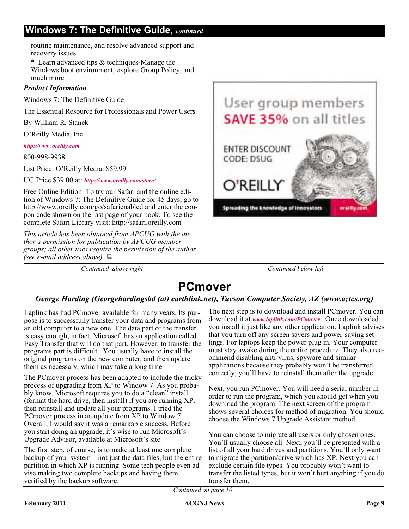### **Windows 7: The Definitive Guide,** *continued*

routine maintenance, and resolve advanced support and recovery issues

\* Learn advanced tips & techniques-Manage the Windows boot environment, explore Group Policy, and much more

### *Product Information*

Windows 7: The Definitive Guide

The Essential Resource for Professionals and Power Users

By William R. Stanek

O'Reilly Media, Inc.

*<http://www.oreilly.com>*

800-998-9938

List Price: O'Reilly Media: \$59.99

UG Price \$39.00 at: *<http://www.oreilly.com/store/>*

Free Online Edition: To try our Safari and the online edition of Windows 7: The Definitive Guide for 45 days, go to http://www.oreilly.com/go/safarienabled and enter the coupon code shown on the last page of your book. To see the complete Safari Library visit: http://safari.oreilly.com

*This article has been obtained from APCUG with the author's permission for publication by APCUG member groups; all other uses require the permission of the author (see e-mail address above).*

*Continued above right Continued below left*



### **PCmover**

### *George Harding (Georgehardingsbd (at) earthlink.net), Tucson Computer Society, AZ (www.aztcs.org)*

Laplink has had PCmover available for many years. Its purpose is to successfully transfer your data and programs from an old computer to a new one. The data part of the transfer is easy enough, in fact, Microsoft has an application called Easy Transfer that will do that part. However, to transfer the programs part is difficult. You usually have to install the original programs on the new computer, and then update them as necessary, which may take a long time

The PCmover process has been adapted to include the tricky process of upgrading from XP to Window 7. As you probably know, Microsoft requires you to do a "clean" install (format the hard drive, then install) if you are running XP, then reinstall and update all your programs. I tried the PCmover process in an update from XP to Window 7. Overall, I would say it was a remarkable success. Before you start doing an upgrade, it's wise to run Microsoft's Upgrade Advisor, available at Microsoft's site.

The first step, of course, is to make at least one complete backup of your system – not just the data files, but the entire partition in which XP is running. Some tech people even advise making two complete backups and having them verified by the backup software.

The next step is to download and install PCmover. You can download it at *[www.laplink.com/PCmover](http://www.laplink.com/PCmover)*. Once downloaded, you install it just like any other application. Laplink advises that you turn off any screen savers and power-saving settings. For laptops keep the power plug in. Your computer must stay awake during the entire procedure. They also recommend disabling anti-virus, spyware and similar applications because they probably won't be transferred correctly; you'll have to reinstall them after the upgrade.

Next, you run PCmover. You will need a serial number in order to run the program, which you should get when you download the program. The next screen of the program shows several choices for method of migration. You should choose the Windows 7 Upgrade Assistant method.

You can choose to migrate all users or only chosen ones. You'll usually choose all. Next, you'll be presented with a list of all your hard drives and partitions. You'll only want to migrate the partition/drive which has XP. Next you can exclude certain file types. You probably won't want to transfer the listed types, but it won't hurt anything if you do transfer them.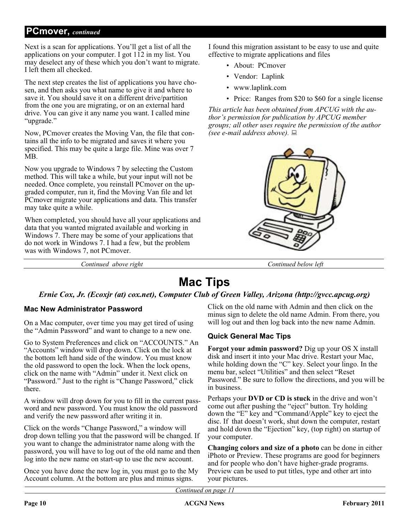### **PCmover,** *continued*

Next is a scan for applications. You'll get a list of all the applications on your computer. I got 112 in my list. You may deselect any of these which you don't want to migrate. I left them all checked.

The next step creates the list of applications you have chosen, and then asks you what name to give it and where to save it. You should save it on a different drive/partition from the one you are migrating, or on an external hard drive. You can give it any name you want. I called mine "upgrade."

Now, PCmover creates the Moving Van, the file that contains all the info to be migrated and saves it where you specified. This may be quite a large file. Mine was over 7 MB.

Now you upgrade to Windows 7 by selecting the Custom method. This will take a while, but your input will not be needed. Once complete, you reinstall PCmover on the upgraded computer, run it, find the Moving Van file and let PCmover migrate your applications and data. This transfer may take quite a while.

When completed, you should have all your applications and data that you wanted migrated available and working in Windows 7. There may be some of your applications that do not work in Windows 7. I had a few, but the problem was with Windows 7, not PCmover.

*Continued above right Continued below left*

I found this migration assistant to be easy to use and quite effective to migrate applications and files

- About: PCmover
- Vendor: Laplink
- www.laplink.com
- Price: Ranges from \$20 to \$60 for a single license

*This article has been obtained from APCUG with the author's permission for publication by APCUG member groups; all other uses require the permission of the author (see e-mail address above).*



### **Mac Tips**

### *Ernie Cox, Jr. (Ecoxjr (at) cox.net), Computer Club of Green Valley, Arizona (http://gvcc.apcug.org)*

### **Mac New Administrator Password**

On a Mac computer, over time you may get tired of using the "Admin Password" and want to change to a new one.

Go to System Preferences and click on "ACCOUNTS." An "Accounts" window will drop down. Click on the lock at the bottom left hand side of the window. You must know the old password to open the lock. When the lock opens, click on the name with "Admin" under it. Next click on "Password." Just to the right is "Change Password," click there.

A window will drop down for you to fill in the current password and new password. You must know the old password and verify the new password after writing it in.

Click on the words "Change Password," a window will drop down telling you that the password will be changed. If you want to change the administrator name along with the password, you will have to log out of the old name and then log into the new name on start-up to use the new account.

Once you have done the new log in, you must go to the My Account column. At the bottom are plus and minus signs.

Click on the old name with Admin and then click on the minus sign to delete the old name Admin. From there, you will log out and then log back into the new name Admin.

### **Quick General Mac Tips**

**Forgot your admin password?** Dig up your OS X install disk and insert it into your Mac drive. Restart your Mac, while holding down the "C" key. Select your lingo. In the menu bar, select "Utilities" and then select "Reset Password." Be sure to follow the directions, and you will be in business.

Perhaps your **DVD or CD is stuck** in the drive and won't come out after pushing the "eject" button. Try holding down the "E" key and "Command/Apple" key to eject the disc. If that doesn't work, shut down the computer, restart and hold down the "Ejection" key, (top right) on startup of your computer.

**Changing colors and size of a photo** can be done in either iPhoto or Preview. These programs are good for beginners and for people who don't have higher-grade programs. Preview can be used to put titles, type and other art into your pictures.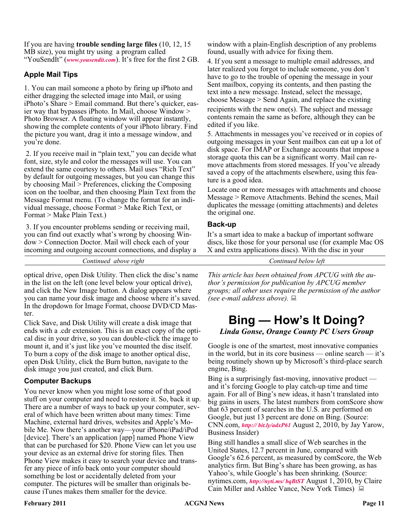If you are having **trouble sending large files** (10, 12, 15 MB size), you might try using a program called "YouSendIt" (*[www.yousendit.com](http://www.yousendit.com)*). It's free for the first 2 GB.

### **Apple Mail Tips**

1. You can mail someone a photo by firing up iPhoto and either dragging the selected image into Mail, or using iPhoto's Share > Email command. But there's quicker, easier way that bypasses iPhoto. In Mail, choose Window > Photo Browser. A floating window will appear instantly, showing the complete contents of your iPhoto library. Find the picture you want, drag it into a message window, and you're done.

2. If you receive mail in "plain text," you can decide what font, size, style and color the messages will use. You can extend the same courtesy to others. Mail uses "Rich Text" by default for outgoing messages, but you can change this by choosing Mail > Preferences, clicking the Composing icon on the toolbar, and then choosing Plain Text from the Message Format menu. (To change the format for an individual message, choose Format > Make Rich Text, or Format > Make Plain Text.)

3. If you encounter problems sending or receiving mail, you can find out exactly what's wrong by choosing Window > Connection Doctor. Mail will check each of your incoming and outgoing account connections, and display a

*Continued above right Continued below left*

optical drive, open Disk Utility. Then click the disc's name in the list on the left (one level below your optical drive), and click the New Image button. A dialog appears where you can name your disk image and choose where it's saved. In the dropdown for Image Format, choose DVD/CD Master.

Click Save, and Disk Utility will create a disk image that ends with a .cdr extension. This is an exact copy of the optical disc in your drive, so you can double-click the image to mount it, and it's just like you've mounted the disc itself. To burn a copy of the disk image to another optical disc, open Disk Utility, click the Burn button, navigate to the disk image you just created, and click Burn.

### **Computer Backups**

You never know when you might lose some of that good stuff on your computer and need to restore it. So, back it up. There are a number of ways to back up your computer, several of which have been written about many times: Time Machine, external hard drives, websites and Apple's Mobile Me. Now there's another way—your iPhone/iPad/iPod [device]. There's an application [app] named Phone View that can be purchased for \$20. Phone View can let you use your device as an external drive for storing files. Then Phone View makes it easy to search your device and transfer any piece of info back onto your computer should something be lost or accidentally deleted from your computer. The pictures will be smaller than originals because iTunes makes them smaller for the device.

window with a plain-English description of any problems found, usually with advice for fixing them.

4. If you sent a message to multiple email addresses, and later realized you forgot to include someone, you don't have to go to the trouble of opening the message in your Sent mailbox, copying its contents, and then pasting the text into a new message. Instead, select the message, choose Message > Send Again, and replace the existing recipients with the new one(s). The subject and message contents remain the same as before, although they can be edited if you like.

5. Attachments in messages you've received or in copies of outgoing messages in your Sent mailbox can eat up a lot of disk space. For IMAP or Exchange accounts that impose a storage quota this can be a significant worry. Mail can remove attachments from stored messages. If you've already saved a copy of the attachments elsewhere, using this feature is a good idea.

Locate one or more messages with attachments and choose Message > Remove Attachments. Behind the scenes, Mail duplicates the message (omitting attachments) and deletes the original one.

### **Back-up**

It's a smart idea to make a backup of important software discs, like those for your personal use (for example Mac OS X and extra applications discs). With the disc in your

*This article has been obtained from APCUG with the author's permission for publication by APCUG member groups; all other uses require the permission of the author (see e-mail address above).*

### **Bing — How's It Doing?** *Linda Gonse, Orange County PC Users Group*

Google is one of the smartest, most innovative companies in the world, but in its core business — online search — it's being routinely shown up by Microsoft's third-place search engine, Bing.

Bing is a surprisingly fast-moving, innovative product and it's forcing Google to play catch-up time and time again. For all of Bing's new ideas, it hasn't translated into big gains in users. The latest numbers from comScore show that 63 percent of searches in the U.S. are performed on Google, but just 13 percent are done on Bing. (Source: CNN.com, *<http:// bit.ly/adxP61>* August 2, 2010, by Jay Yarow, Business Insider)

Bing still handles a small slice of Web searches in the United States, 12.7 percent in June, compared with Google's 62.6 percent, as measured by comScore, the Web analytics firm. But Bing's share has been growing, as has Yahoo's, while Google's has been shrinking. (Source: nytimes.com, *<http://nyti.ms/ bqBtST>* August 1, 2010, by Claire Cain Miller and Ashlee Vance, New York Times)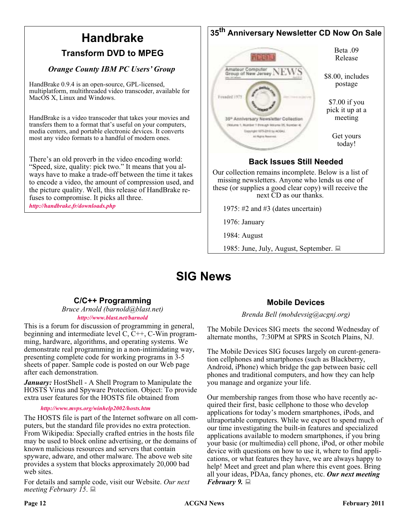#### **35th Anniversary Newsletter CD Now On Sale Handbrake** Beta .09 **Transform DVD to MPEG** Release *Orange County IBM PC Users' Group* Amateur Computer<br>Group of New Jersey NEW Amateur Computer \$8.00, includes HandBrake 0.9.4 is an open-source, GPL-licensed, postage multiplatform, multithreaded video transcoder, available for Mac<sub>O</sub>S X, Linux and Windows. \$7.00 if you pick it up at a HandBrake is a video transcoder that takes your movies and meeting 35<sup>\*</sup> Anniversary Newsletter Collection transfers them to a format that's useful on your computers, (Mulume 1, Number 1 Brenigh Weigme 35, Number media centers, and portable electronic devices. It converts Dopyington 1975-2010 to ACOHA Get yours most any video formats to a handful of modern ones. at fight funeral today! There's an old proverb in the video encoding world: **Back Issues Still Needed** "Speed, size, quality: pick two." It means that you al-Our collection remains incomplete. Below is a list of ways have to make a trade-off between the time it takes missing newsletters. Anyone who lends us one of to encode a video, the amount of compression used, and these (or supplies a good clear copy) will receive the the picture quality. Well, this release of HandBrake renext CD as our thanks. fuses to compromise. It picks all three. *<http://handbrake.fr/downloads.php>*1975: #2 and #3 (dates uncertain) 1976: January 1984: August 1985: June, July, August, September.

### **SIG News**

### **C/C++ Programming**

### *Bruce Arnold (barnold@blast.net) <http://www.blast.net/barnold>*

This is a forum for discussion of programming in general, beginning and intermediate level C, C++, C-Win programming, hardware, algorithms, and operating systems. We demonstrate real programming in a non-intimidating way, presenting complete code for working programs in 3-5 sheets of paper. Sample code is posted on our Web page after each demonstration.

*January:* HostShell - A Shell Program to Manipulate the HOSTS Virus and Spyware Protection. Object: To provide extra user features for the HOSTS file obtained from

*<http://www.mvps.org/winhelp2002/hosts.htm>*

The HOSTS file is part of the Internet software on all computers, but the standard file provides no extra protection. From Wikipedia: Specially crafted entries in the hosts file may be used to block online advertising, or the domains of known malicious resources and servers that contain spyware, adware, and other malware. The above web site provides a system that blocks approximately 20,000 bad web sites.

For details and sample code, visit our Website. *Our next meeting February 15*.

### **Mobile Devices**

*Brenda Bell (mobdevsig@acgnj.org)*

The Mobile Devices SIG meets the second Wednesday of alternate months, 7:30PM at SPRS in Scotch Plains, NJ.

The Mobile Devices SIG focuses largely on curent-generation cellphones and smartphones (such as Blackberry, Android, iPhone) which bridge the gap between basic cell phones and traditional computers, and how they can help you manage and organize your life.

Our membership ranges from those who have recently acquired their first, basic cellphone to those who develop applications for today's modern smartphones, iPods, and ultraportable computers. While we expect to spend much of our time investigating the built-in features and specialized applications available to modern smartphones, if you bring your basic (or multimedia) cell phone, iPod, or other mobile device with questions on how to use it, where to find applications, or what features they have, we are always happy to help! Meet and greet and plan where this event goes. Bring all your ideas, PDAa, fancy phones, etc. *Our next meeting February 9.*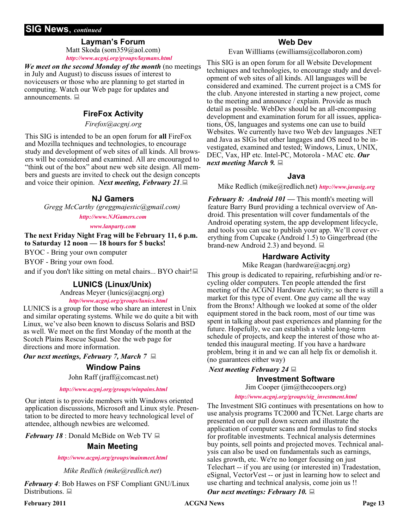### **SIG News**, *continued*

### **Layman's Forum**

Matt Skoda (som359@aol.com) *<http://www.acgnj.org/groups/laymans.html>*

*We meet on the second Monday of the month* (no meetings in July and August) to discuss issues of interest to noviceusers or those who are planning to get started in computing. Watch our Web page for updates and announcements.  $\Box$ 

### **FireFox Activity**

*Firefox@acgnj.org*

This SIG is intended to be an open forum for **all** FireFox and Mozilla techniques and technologies, to encourage study and development of web sites of all kinds. All browsers will be considered and examined. All are encouraged to "think out of the box" about new web site design. All members and guests are invited to check out the design concepts and voice their opinion. *Next meeting, February 21*.

### **NJ Gamers**

*Gregg McCarthy (greggmajestic@gmail.com)*

*<http://www.NJGamers.com>*

#### *[www.lanparty.com](http://www.lanparty.com)*

**The next Friday Night Frag will be February 11, 6 p.m. to Saturday 12 noon — 18 hours for 5 bucks!**

BYOC - Bring your own computer

BYOF - Bring your own food.

and if you don't like sitting on metal chairs... BYO chair!

### **LUNICS (Linux/Unix)**

Andreas Meyer (lunics@acgnj.org)

*<http//www.acgnj.org/groups/lunics.html>*

LUNICS is a group for those who share an interest in Unix and similar operating systems. While we do quite a bit with Linux, we've also been known to discuss Solaris and BSD as well. We meet on the first Monday of the month at the Scotch Plains Rescue Squad. See the web page for directions and more information.

*Our next meetings, February 7, March 7*

### **Window Pains**

John Raff (jraff@comcast.net)

### *<http://www.acgnj.org/groups/winpains.html>*

Our intent is to provide members with Windows oriented application discussions, Microsoft and Linux style. Presentation to be directed to more heavy technological level of attendee, although newbies are welcomed.

*February 18* : Donald McBide on Web TV

### **Main Meeting**

### *<http://www.acgnj.org/groups/mainmeet.html>*

*Mike Redlich (mike@redlich.net*)

*February 4*: Bob Hawes on FSF Compliant GNU/Linux Distributions. ■

### **Web Dev**

Evan Willliams (ewilliams@collaboron.com)

This SIG is an open forum for all Website Development techniques and technologies, to encourage study and development of web sites of all kinds. All languages will be considered and examined. The current project is a CMS for the club. Anyone interested in starting a new project, come to the meeting and announce / explain. Provide as much detail as possible. WebDev should be an all-encompasing development and examination forum for all issues, applications, OS, languages and systems one can use to build Websites. We currently have two Web dev languages .NET and Java as SIGs but other langages and OS need to be investigated, examined and tested; Windows, Linux, UNIX, DEC, Vax, HP etc. Intel-PC, Motorola - MAC etc. *Our next meeting March 9.*

### **Java**

Mike Redlich (mike@redlich.net) *<http://www.javasig.org>*

*February 8: Android 101 —* This month's meeting will feature Barry Burd providing a technical overview of Android. This presentation will cover fundamentals of the Android operating system, the app development lifecycle, and tools you can use to publish your app. We'll cover everything from Cupcake (Android 1.5) to Gingerbread (the brand-new Android 2.3) and beyond.  $\Box$ 

### **Hardware Activity**

Mike Reagan (hardware@acgnj.org)

This group is dedicated to repairing, refurbishing and/or recycling older computers. Ten people attended the first meeting of the ACGNJ Hardware Activity; so there is still a market for this type of event. One guy came all the way from the Bronx! Although we looked at some of the older equipment stored in the back room, most of our time was spent in talking about past experiences and planning for the future. Hopefully, we can establish a viable long-term schedule of projects, and keep the interest of those who attended this inaugural meeting. If you have a hardware problem, bring it in and we can all help fix or demolish it. (no guarantees either way)

### *Next meeting February 24*

### **Investment Software**

Jim Cooper (jim@thecoopers.org)

### *[http://www.acgnj.org/groups/sig\\_investment.html](http://www.acgnj.org/groups/sig_investment.html)*

The Investment SIG continues with presentations on how to use analysis programs TC2000 and TCNet. Large charts are presented on our pull down screen and illustrate the application of computer scans and formulas to find stocks for profitable investments. Technical analysis determines buy points, sell points and projected moves. Technical analysis can also be used on fundamentals such as earnings, sales growth, etc. We're no longer focusing on just Telechart -- if you are using (or interested in) Tradestation, eSignal, VectorVest -- or just in learning how to select and use charting and technical analysis, come join us !!

### *Our next meetings: February 10.*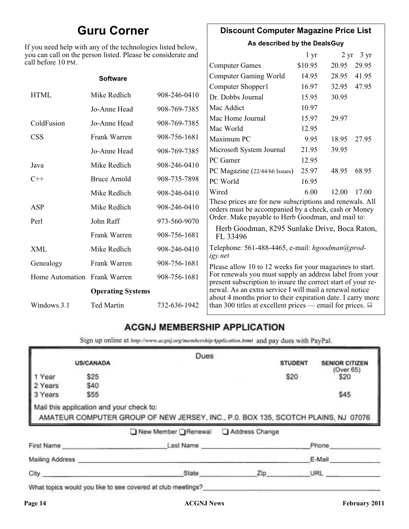### **Guru Corner**

If you need help with any of the technologies listed below, you can call on the person listed. Please be considerate and ca

### **Discount Computer Magazine Price List**

**As described by the DealsGuy**

| ou can call on the person listed. Please be considerate and<br>ll before 10 PM. |                     |              |                                                                                                                         | 1 <sub>yr</sub> |       | $2 \text{ yr}$ 3 yr |
|---------------------------------------------------------------------------------|---------------------|--------------|-------------------------------------------------------------------------------------------------------------------------|-----------------|-------|---------------------|
|                                                                                 |                     |              | <b>Computer Games</b>                                                                                                   | \$10.95         | 20.95 | 29.95               |
|                                                                                 | <b>Software</b>     |              | <b>Computer Gaming World</b>                                                                                            | 14.95           | 28.95 | 41.95               |
|                                                                                 |                     |              | Computer Shopper1                                                                                                       | 16.97           | 32.95 | 47.95               |
| <b>HTML</b>                                                                     | Mike Redlich        | 908-246-0410 | Dr. Dobbs Journal                                                                                                       | 15.95           | 30.95 |                     |
|                                                                                 | Jo-Anne Head        | 908-769-7385 | Mac Addict                                                                                                              | 10.97           |       |                     |
| ColdFusion                                                                      | Jo-Anne Head        | 908-769-7385 | Mac Home Journal                                                                                                        | 15.97           | 29.97 |                     |
|                                                                                 |                     |              | Mac World                                                                                                               | 12.95           |       |                     |
| <b>CSS</b>                                                                      | Frank Warren        | 908-756-1681 | Maximum PC                                                                                                              | 9.95            | 18.95 | 27.95               |
|                                                                                 | Jo-Anne Head        | 908-769-7385 | Microsoft System Journal                                                                                                | 21.95           | 39.95 |                     |
| Java                                                                            | Mike Redlich        | 908-246-0410 | PC Gamer                                                                                                                | 12.95           |       |                     |
|                                                                                 |                     |              | PC Magazine (22/44/66 Issues)                                                                                           | 25.97           | 48.95 | 68.95               |
| $C++$                                                                           | <b>Bruce Arnold</b> | 908-735-7898 | PC World                                                                                                                | 16.95           |       |                     |
|                                                                                 | Mike Redlich        | 908-246-0410 | Wired                                                                                                                   | 6.00            | 12.00 | 17.00               |
| ASP                                                                             | Mike Redlich        | 908-246-0410 | These prices are for new subscriptions and renewals. All<br>orders must be accompanied by a check, cash or Money        |                 |       |                     |
| Perl                                                                            | John Raff           | 973-560-9070 | Order. Make payable to Herb Goodman, and mail to:                                                                       |                 |       |                     |
|                                                                                 | Frank Warren        | 908-756-1681 | Herb Goodman, 8295 Sunlake Drive, Boca Raton,<br>FL 33496                                                               |                 |       |                     |
| XML                                                                             | Mike Redlich        | 908-246-0410 | Telephone: 561-488-4465, e-mail: hgoodman@prod-<br>igy.net                                                              |                 |       |                     |
| Genealogy                                                                       | Frank Warren        | 908-756-1681 | Please allow 10 to 12 weeks for your magazines to start.                                                                |                 |       |                     |
| Home Automation Frank Warren                                                    |                     | 908-756-1681 | For renewals you must supply an address label from your<br>present subscription to insure the correct start of your re- |                 |       |                     |
| <b>Operating Systems</b>                                                        |                     |              | newal. As an extra service I will mail a renewal notice<br>about 4 months prior to their expiration date. I carry more  |                 |       |                     |
| Windows 3.1                                                                     | Ted Martin          | 732-636-1942 | than 300 titles at excellent prices — email for prices. $\Box$                                                          |                 |       |                     |

### **ACGNJ MEMBERSHIP APPLICATION**

Sign up online at http://www.acguj.org/membershipApplication.html and pay dues with PayPal.

|                            |                                                                       | Dues                                                                                                                   |                |                           |
|----------------------------|-----------------------------------------------------------------------|------------------------------------------------------------------------------------------------------------------------|----------------|---------------------------|
|                            | <b>US/CANADA</b>                                                      |                                                                                                                        | <b>STUDENT</b> | <b>SENIOR CITIZEN</b>     |
| Year<br>2 Years<br>3 Years | \$25<br>\$40<br>\$55                                                  |                                                                                                                        | \$20           | (Over 65)<br>\$20<br>\$45 |
|                            |                                                                       |                                                                                                                        |                |                           |
|                            | Mail this application and your check to:<br>AMATEUR COMPUTER GROUP OF | AMATEUR COMPUTER GROUP OF NEW JERSEY, INC., P.0. BOX 135, SCOTCH PLAINS, NJ 07076<br>New Member Renewal Address Change |                |                           |
| First Name                 |                                                                       | Last Name                                                                                                              |                | Phone                     |
| Mailing Address            |                                                                       |                                                                                                                        |                | E-Mail                    |

What topics would you like to see covered at club meetings?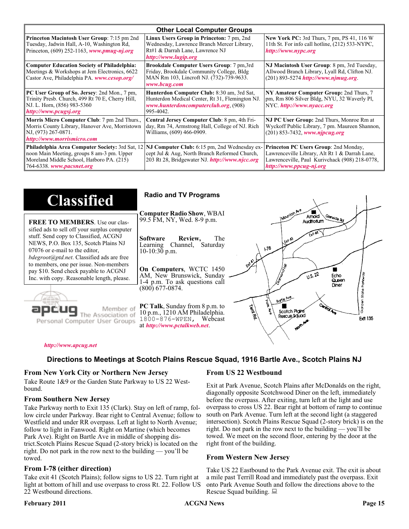| <b>Other Local Computer Groups</b>                                                                                                                                             |                                                                                                                                                           |                                                                                                                                                                      |  |  |
|--------------------------------------------------------------------------------------------------------------------------------------------------------------------------------|-----------------------------------------------------------------------------------------------------------------------------------------------------------|----------------------------------------------------------------------------------------------------------------------------------------------------------------------|--|--|
| <b>Princeton Macintosh User Group:</b> 7:15 pm 2nd<br>Tuesday, Jadwin Hall, A-10, Washington Rd,<br>Princeton, $(609)$ 252-1163, www.pmug-nj.org                               | Linux Users Group in Princeton: 7 pm, 2nd<br>Wednesday, Lawrence Branch Mercer Library,<br>Rt#1 & Darrah Lane, Lawrence NJ<br>http://www.lugip.org        | <b>New York PC:</b> 3rd Thurs, 7 pm, PS 41, 116 W<br>11th St. For info call hotline, (212) 533-NYPC,<br>http://www.nypc.org                                          |  |  |
| <b>Computer Education Society of Philadelphia:</b><br>Meetings & Workshops at Jem Electronics, 6622<br>Castor Ave, Philadelphia PA. www.cesop.org/                             | <b>Brookdale Computer Users Group:</b> 7 pm, 3rd<br>Friday, Brookdale Community College, Bldg<br>MAN Rm 103, Lincroft NJ. (732)-739-9633.<br>www.bcug.com | NJ Macintosh User Group: 8 pm, 3rd Tuesday,<br>Allwood Branch Library, Lyall Rd, Clifton NJ.<br>$(201)$ 893-5274 http://www.njmug.org                                |  |  |
| PC User Group of So. Jersey: 2nd Mon., 7 pm,<br>Trinity Presb. Church, 499 Rt 70 E, Cherry Hill,<br>NJ. L. Horn, (856) 983-5360<br>http://www.pcugsj.org                       | Hunterdon Computer Club: 8:30 am, 3rd Sat,<br>Hunterdon Medical Center, Rt 31, Flemington NJ.<br>www.hunterdoncomputerclub.org. (908)<br>995-4042.        | NY Amateur Computer Group: 2nd Thurs, 7<br>pm, Rm 806 Silver Bldg, NYU, 32 Waverly Pl,<br>NYC http://www.nyacc.org                                                   |  |  |
| Morris Micro Computer Club: 7 pm 2nd Thurs.,<br>Morris County Library, Hanover Ave, Morristown<br>NJ, (973) 267-0871.<br>http://www.morrismicro.com                            | Central Jersey Computer Club: 8 pm, 4th Fri-<br>day, Rm 74, Armstrong Hall, College of NJ. Rich<br>Williams, (609) 466-0909.                              | NJ PC User Group: 2nd Thurs, Monroe Rm at<br>Wyckoff Public Library, 7 pm. Maureen Shannon,<br>$(201)$ 853-7432, www.njpcug.org                                      |  |  |
| <b>Philadelphia Area Computer Society: 3rd Sat, 12</b><br>noon Main Meeting, groups 8 am-3 pm. Upper<br>Moreland Middle School, Hatboro PA. (215)<br>764-6338. www.pacsnet.org | NJ Computer Club: 6:15 pm, 2nd Wednesday ex-<br>cept Jul & Aug, North Branch Reformed Church,<br>203 Rt 28, Bridgewater NJ. http://www.njcc.org           | Princeton PC Users Group: 2nd Monday,<br>Lawrenceville Library, Alt Rt 1 & Darrah Lane,<br>Lawrenceville, Paul Kurivchack (908) 218-0778,<br>http://www.ppcug-nj.org |  |  |

| <b>Classified</b>                                                                                                                                                                                                                                                                                                                                                                             | <b>Radio and TV Programs</b>                                                                                                                                                                                                                                                                                                                                          |
|-----------------------------------------------------------------------------------------------------------------------------------------------------------------------------------------------------------------------------------------------------------------------------------------------------------------------------------------------------------------------------------------------|-----------------------------------------------------------------------------------------------------------------------------------------------------------------------------------------------------------------------------------------------------------------------------------------------------------------------------------------------------------------------|
| <b>FREE TO MEMBERS.</b> Use our clas-<br>sified ads to sell off your surplus computer<br>stuff. Send copy to Classified, ACGNJ<br>NEWS, P.O. Box 135, Scotch Plains NJ<br>07076 or e-mail to the editor,<br><i>bdegroot@ptd.net.</i> Classified ads are free<br>to members, one per issue. Non-members<br>pay \$10. Send check payable to ACGNJ<br>Inc. with copy. Reasonable length, please. | IMOUNTON AVE<br><b>Computer Radio Show, WBAI</b><br>Amold<br>Slenside Rd<br>99.5 FM, NY, Wed. 8-9 p.m.<br>Auditorium<br>The<br><b>Software</b><br>Review,<br>L Exh A3<br>Channel, Saturday<br>Learning<br>$\sqrt{3}$<br>$10-10:30$ p.m.<br>On Computers, WCTC 1450<br>0.5.22<br>AM, New Brunswick, Sunday<br>Echo<br>Queen<br>1-4 p.m. To ask questions call<br>Diner |
| Member of<br>ociation of<br>Personal Computer User Groups                                                                                                                                                                                                                                                                                                                                     | (800) 677-0874.<br>Borle Ave<br>D<br><b>Cantrol Ave</b><br><b>PC Talk</b> , Sunday from 8 p.m. to<br>Territory<br>Scotch Plains<br>10 p.m., 1210 AM Philadelphia.<br>Rescue Sound<br><b>Ext 135</b><br>1800-876-WPEN, Webcast<br>at http://www.pctalkweb.net.<br>$\mathbf{v}_{q}$                                                                                     |

#### *<http://www.apcug.net>*

### **Directions to Meetings at Scotch Plains Rescue Squad, 1916 Bartle Ave., Scotch Plains NJ**

#### **From New York City or Northern New Jersey**

Take Route 1&9 or the Garden State Parkway to US 22 Westbound.

#### **From Southern New Jersey**

Take Parkway north to Exit 135 (Clark). Stay on left of ramp, follow circle under Parkway. Bear right to Central Avenue; follow to Westfield and under RR overpass. Left at light to North Avenue; follow to light in Fanwood. Right on Martine (which becomes Park Ave). Right on Bartle Ave in middle of shopping district.Scotch Plains Rescue Squad (2-story brick) is located on the right. Do not park in the row next to the building — you'll be towed.

### **From I-78 (either direction)**

Take exit 41 (Scotch Plains); follow signs to US 22. Turn right at light at bottom of hill and use overpass to cross Rt. 22. Follow US 22 Westbound directions.

### **From US 22 Westbound**

Exit at Park Avenue, Scotch Plains after McDonalds on the right, diagonally opposite Scotchwood Diner on the left, immediately before the overpass. After exiting, turn left at the light and use overpass to cross US 22. Bear right at bottom of ramp to continue south on Park Avenue. Turn left at the second light (a staggered intersection). Scotch Plains Rescue Squad (2-story brick) is on the right. Do not park in the row next to the building — you'll be towed. We meet on the second floor, entering by the door at the right front of the building.

### **From Western New Jersey**

Take US 22 Eastbound to the Park Avenue exit. The exit is about a mile past Terrill Road and immediately past the overpass. Exit onto Park Avenue South and follow the directions above to the Rescue Squad building.